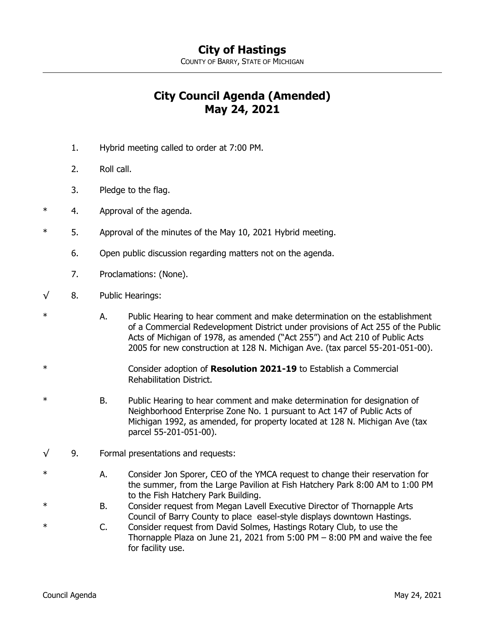COUNTY OF BARRY, STATE OF MICHIGAN

## **City Council Agenda (Amended) May 24, 2021**

- 1. Hybrid meeting called to order at 7:00 PM.
- 2. Roll call.
- 3. Pledge to the flag.
- \* 4. Approval of the agenda.
- \* 5. Approval of the minutes of the May 10, 2021 Hybrid meeting.
	- 6. Open public discussion regarding matters not on the agenda.
	- 7. Proclamations: (None).
- $\sqrt{8}$ . Public Hearings:
- \* A. Public Hearing to hear comment and make determination on the establishment of a Commercial Redevelopment District under provisions of Act 255 of the Public Acts of Michigan of 1978, as amended ("Act 255") and Act 210 of Public Acts 2005 for new construction at 128 N. Michigan Ave. (tax parcel 55-201-051-00).
- \* Consider adoption of **Resolution 2021-19** to Establish a Commercial Rehabilitation District.
- \* B. Public Hearing to hear comment and make determination for designation of Neighborhood Enterprise Zone No. 1 pursuant to Act 147 of Public Acts of Michigan 1992, as amended, for property located at 128 N. Michigan Ave (tax parcel 55-201-051-00).
- √ 9. Formal presentations and requests:
- A. Consider Jon Sporer, CEO of the YMCA request to change their reservation for the summer, from the Large Pavilion at Fish Hatchery Park 8:00 AM to 1:00 PM to the Fish Hatchery Park Building.
- B. Consider request from Megan Lavell Executive Director of Thornapple Arts Council of Barry County to place easel-style displays downtown Hastings.
- \* C. Consider request from David Solmes, Hastings Rotary Club, to use the Thornapple Plaza on June 21, 2021 from 5:00 PM  $-$  8:00 PM and waive the fee for facility use.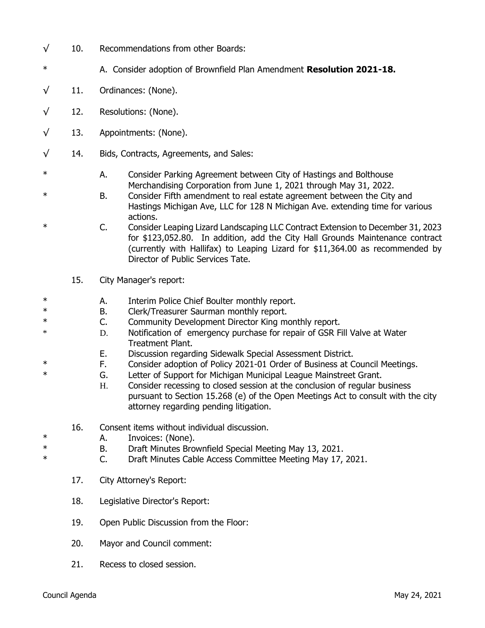- $\sqrt{10}$ . Recommendations from other Boards:
- \* A. Consider adoption of Brownfield Plan Amendment **Resolution 2021-18.**
- $\sqrt{11}$ . Ordinances: (None).
- $\sqrt{12}$ . Resolutions: (None).
- $\sqrt{13}$ . Appointments: (None).
- √ 14. Bids, Contracts, Agreements, and Sales:
- \* A. Consider Parking Agreement between City of Hastings and Bolthouse Merchandising Corporation from June 1, 2021 through May 31, 2022.
- \* B. Consider Fifth amendment to real estate agreement between the City and Hastings Michigan Ave, LLC for 128 N Michigan Ave. extending time for various actions.
- \* C. Consider Leaping Lizard Landscaping LLC Contract Extension to December 31, 2023 for \$123,052.80. In addition, add the City Hall Grounds Maintenance contract (currently with Hallifax) to Leaping Lizard for \$11,364.00 as recommended by Director of Public Services Tate.
	- 15. City Manager's report:
- \* Therim Police Chief Boulter monthly report.<br>
E Clerk/Treasurer Saurman monthly report
- B. Clerk/Treasurer Saurman monthly report.
- \* C. Community Development Director King monthly report.
- \* D. Notification of emergency purchase for repair of GSR Fill Valve at Water Treatment Plant.
- E. Discussion regarding Sidewalk Special Assessment District.
- \* F. Consider adoption of Policy 2021-01 Order of Business at Council Meetings.
- \* G. Letter of Support for Michigan Municipal League Mainstreet Grant.
	- H. Consider recessing to closed session at the conclusion of regular business pursuant to Section 15.268 (e) of the Open Meetings Act to consult with the city attorney regarding pending litigation.
	- 16. Consent items without individual discussion.
- \* A. Invoices: (None).
- \* B. Draft Minutes Brownfield Special Meeting May 13, 2021.
- \* C. Draft Minutes Cable Access Committee Meeting May 17, 2021.
	- 17. City Attorney's Report:
	- 18. Legislative Director's Report:
	- 19. Open Public Discussion from the Floor:
	- 20. Mayor and Council comment:
	- 21. Recess to closed session.